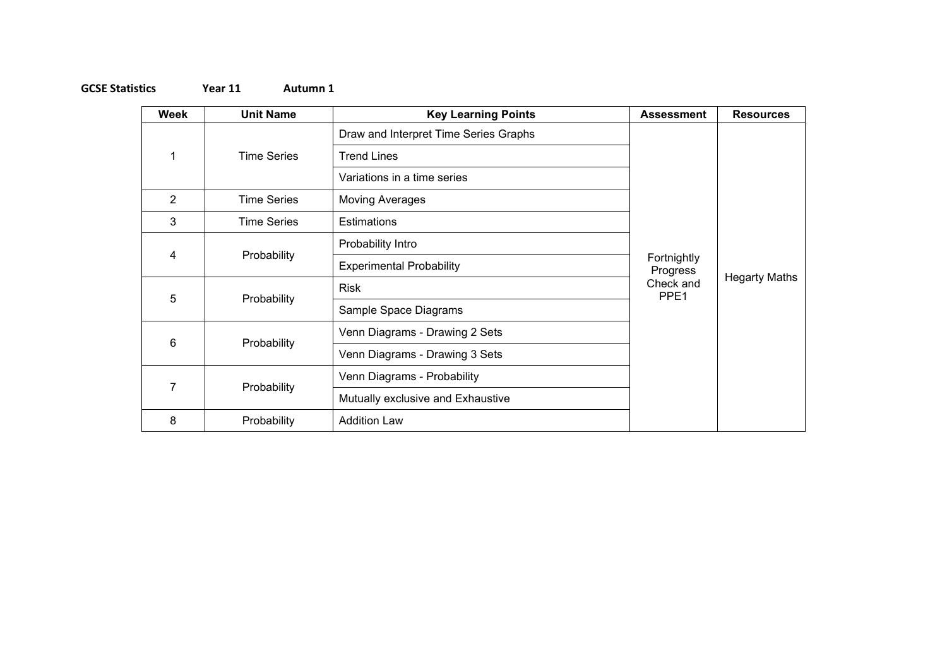## **GCSE Statistics Year 11 Autumn 1**

| Week           | <b>Unit Name</b>   | <b>Key Learning Points</b>            | <b>Assessment</b>             | <b>Resources</b>     |
|----------------|--------------------|---------------------------------------|-------------------------------|----------------------|
| 1              | <b>Time Series</b> | Draw and Interpret Time Series Graphs |                               | <b>Hegarty Maths</b> |
|                |                    | <b>Trend Lines</b>                    |                               |                      |
|                |                    | Variations in a time series           |                               |                      |
| $\overline{2}$ | <b>Time Series</b> | <b>Moving Averages</b>                |                               |                      |
| 3              | <b>Time Series</b> | Estimations                           |                               |                      |
| 4              | Probability        | Probability Intro                     |                               |                      |
|                |                    | <b>Experimental Probability</b>       | Fortnightly<br>Progress       |                      |
| 5              | Probability        | <b>Risk</b>                           | Check and<br>PPE <sub>1</sub> |                      |
|                |                    | Sample Space Diagrams                 |                               |                      |
| 6              | Probability        | Venn Diagrams - Drawing 2 Sets        |                               |                      |
|                |                    | Venn Diagrams - Drawing 3 Sets        |                               |                      |
| 7              | Probability        | Venn Diagrams - Probability           |                               |                      |
|                |                    | Mutually exclusive and Exhaustive     |                               |                      |
| 8              | Probability        | <b>Addition Law</b>                   |                               |                      |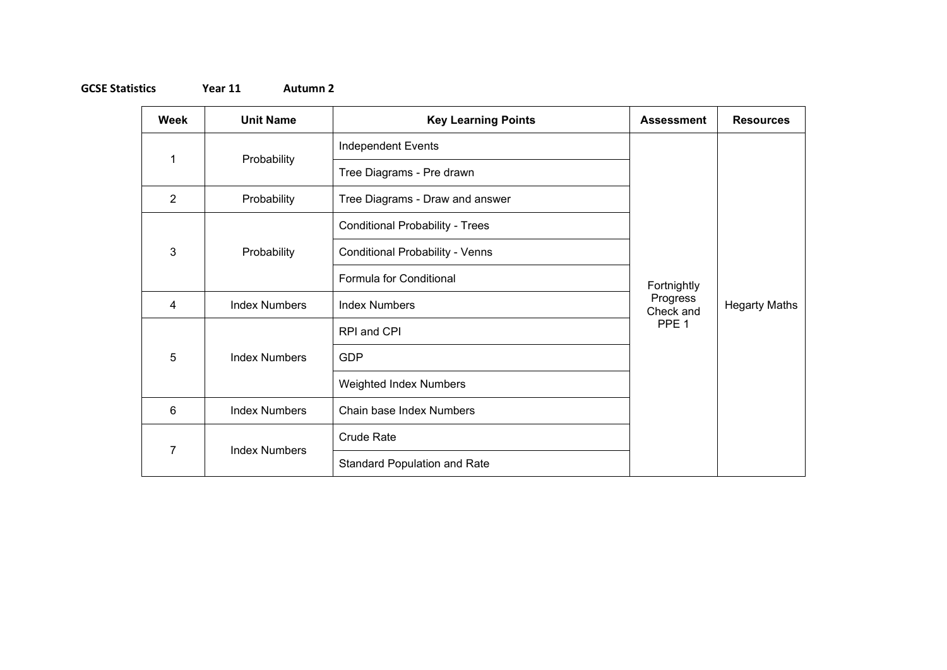## **GCSE Statistics Year 11 Autumn 2**

| Week           | <b>Unit Name</b>     | <b>Key Learning Points</b>             | <b>Assessment</b>                                        | <b>Resources</b>     |
|----------------|----------------------|----------------------------------------|----------------------------------------------------------|----------------------|
| 1              | Probability          | <b>Independent Events</b>              | Fortnightly<br>Progress<br>Check and<br>PPE <sub>1</sub> | <b>Hegarty Maths</b> |
|                |                      | Tree Diagrams - Pre drawn              |                                                          |                      |
| $\overline{2}$ | Probability          | Tree Diagrams - Draw and answer        |                                                          |                      |
| 3              | Probability          | <b>Conditional Probability - Trees</b> |                                                          |                      |
|                |                      | <b>Conditional Probability - Venns</b> |                                                          |                      |
|                |                      | Formula for Conditional                |                                                          |                      |
| 4              | <b>Index Numbers</b> | <b>Index Numbers</b>                   |                                                          |                      |
| 5              | <b>Index Numbers</b> | RPI and CPI                            |                                                          |                      |
|                |                      | <b>GDP</b>                             |                                                          |                      |
|                |                      | <b>Weighted Index Numbers</b>          |                                                          |                      |
| 6              | <b>Index Numbers</b> | Chain base Index Numbers               |                                                          |                      |
| 7              | <b>Index Numbers</b> | Crude Rate                             |                                                          |                      |
|                |                      | <b>Standard Population and Rate</b>    |                                                          |                      |